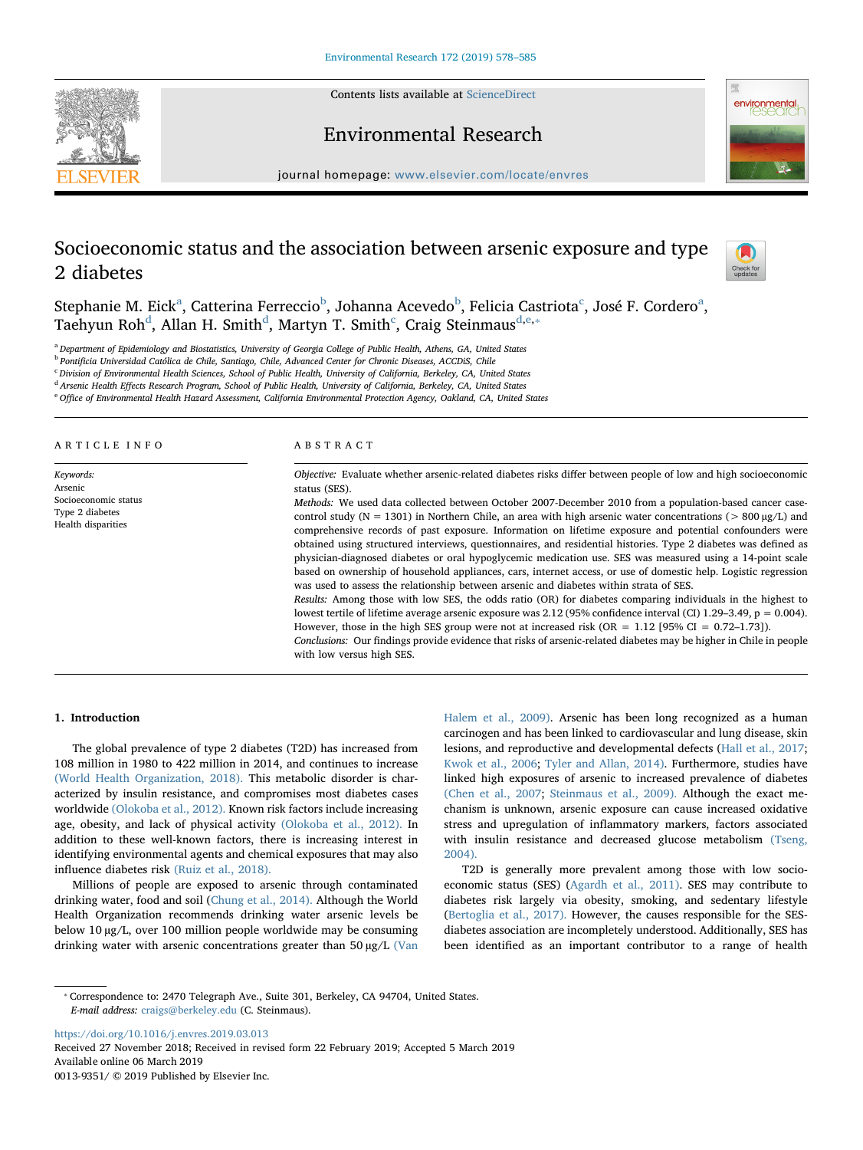Contents lists available at [ScienceDirect](http://www.sciencedirect.com/science/journal/00139351)





## Environmental Research

journal homepage: [www.elsevier.com/locate/envres](https://www.elsevier.com/locate/envres)

# Socioeconomic status and the association between arsenic exposure and type 2 diabetes



Steph[a](#page-0-0)nie M. Eick<sup>a</sup>, Catterina Ferreccio<sup>[b](#page-0-1)</sup>, Johanna A[c](#page-0-2)evedo<sup>b</sup>, Felicia Castriota<sup>c</sup>, José F. Cordero<sup>a</sup>, Taehyun Roh<sup>[d](#page-0-3)</sup>, Allan H. Smith<sup>d</sup>, Martyn T. Smith<sup>[c](#page-0-2)</sup>, Craig Steinmaus<sup>[d,](#page-0-3)[e,](#page-0-4)\*</sup>

<span id="page-0-0"></span>a Department of Epidemiology and Biostatistics, University of Georgia College of Public Health, Athens, GA, United States

<span id="page-0-1"></span><sup>b</sup> Pontificia Universidad Católica de Chile, Santiago, Chile, Advanced Center for Chronic Diseases, ACCDiS, Chile

<span id="page-0-2"></span><sup>c</sup> Division of Environmental Health Sciences, School of Public Health, University of California, Berkeley, CA, United States

<span id="page-0-3"></span><sup>d</sup> Arsenic Health Effects Research Program, School of Public Health, University of California, Berkeley, CA, United States

<span id="page-0-4"></span><sup>e</sup> Office of Environmental Health Hazard Assessment, California Environmental Protection Agency, Oakland, CA, United States

#### ARTICLE INFO

Keywords: Arsenic Socioeconomic status Type 2 diabetes Health disparities

## ABSTRACT

Objective: Evaluate whether arsenic-related diabetes risks differ between people of low and high socioeconomic status (SES).

Methods: We used data collected between October 2007-December 2010 from a population-based cancer casecontrol study ( $N = 1301$ ) in Northern Chile, an area with high arsenic water concentrations ( $> 800 \mu g/L$ ) and comprehensive records of past exposure. Information on lifetime exposure and potential confounders were obtained using structured interviews, questionnaires, and residential histories. Type 2 diabetes was defined as physician-diagnosed diabetes or oral hypoglycemic medication use. SES was measured using a 14-point scale based on ownership of household appliances, cars, internet access, or use of domestic help. Logistic regression was used to assess the relationship between arsenic and diabetes within strata of SES.

Results: Among those with low SES, the odds ratio (OR) for diabetes comparing individuals in the highest to lowest tertile of lifetime average arsenic exposure was 2.12 (95% confidence interval (CI) 1.29–3.49, p = 0.004). However, those in the high SES group were not at increased risk (OR =  $1.12$  [95% CI = 0.72-1.73]).

Conclusions: Our findings provide evidence that risks of arsenic-related diabetes may be higher in Chile in people with low versus high SES.

## 1. Introduction

The global prevalence of type 2 diabetes (T2D) has increased from 108 million in 1980 to 422 million in 2014, and continues to increase [\(World Health Organization, 2018\).](#page-7-0) This metabolic disorder is characterized by insulin resistance, and compromises most diabetes cases worldwide [\(Olokoba et al., 2012\).](#page-6-0) Known risk factors include increasing age, obesity, and lack of physical activity [\(Olokoba et al., 2012\).](#page-6-0) In addition to these well-known factors, there is increasing interest in identifying environmental agents and chemical exposures that may also influence diabetes risk [\(Ruiz et al., 2018\).](#page-6-1)

Millions of people are exposed to arsenic through contaminated drinking water, food and soil ([Chung et al., 2014\).](#page-6-2) Although the World Health Organization recommends drinking water arsenic levels be below 10 µg/L, over 100 million people worldwide may be consuming drinking water with arsenic concentrations greater than 50 µg/L [\(Van](#page-7-1) [Halem et al., 2009\).](#page-7-1) Arsenic has been long recognized as a human carcinogen and has been linked to cardiovascular and lung disease, skin lesions, and reproductive and developmental defects ([Hall et al., 2017](#page-6-3); [Kwok et al., 2006](#page-6-4); [Tyler and Allan, 2014\).](#page-7-2) Furthermore, studies have linked high exposures of arsenic to increased prevalence of diabetes [\(Chen et al., 2007;](#page-6-5) [Steinmaus et al., 2009\).](#page-6-6) Although the exact mechanism is unknown, arsenic exposure can cause increased oxidative stress and upregulation of inflammatory markers, factors associated with insulin resistance and decreased glucose metabolism [\(Tseng,](#page-7-3) [2004\).](#page-7-3)

T2D is generally more prevalent among those with low socioeconomic status (SES) ([Agardh et al., 2011\)](#page-6-7). SES may contribute to diabetes risk largely via obesity, smoking, and sedentary lifestyle ([Bertoglia et al., 2017\).](#page-6-8) However, the causes responsible for the SESdiabetes association are incompletely understood. Additionally, SES has been identified as an important contributor to a range of health

<https://doi.org/10.1016/j.envres.2019.03.013>

<span id="page-0-5"></span><sup>⁎</sup> Correspondence to: 2470 Telegraph Ave., Suite 301, Berkeley, CA 94704, United States. E-mail address: [craigs@berkeley.edu](mailto:craigs@berkeley.edu) (C. Steinmaus).

Received 27 November 2018; Received in revised form 22 February 2019; Accepted 5 March 2019 Available online 06 March 2019 0013-9351/ © 2019 Published by Elsevier Inc.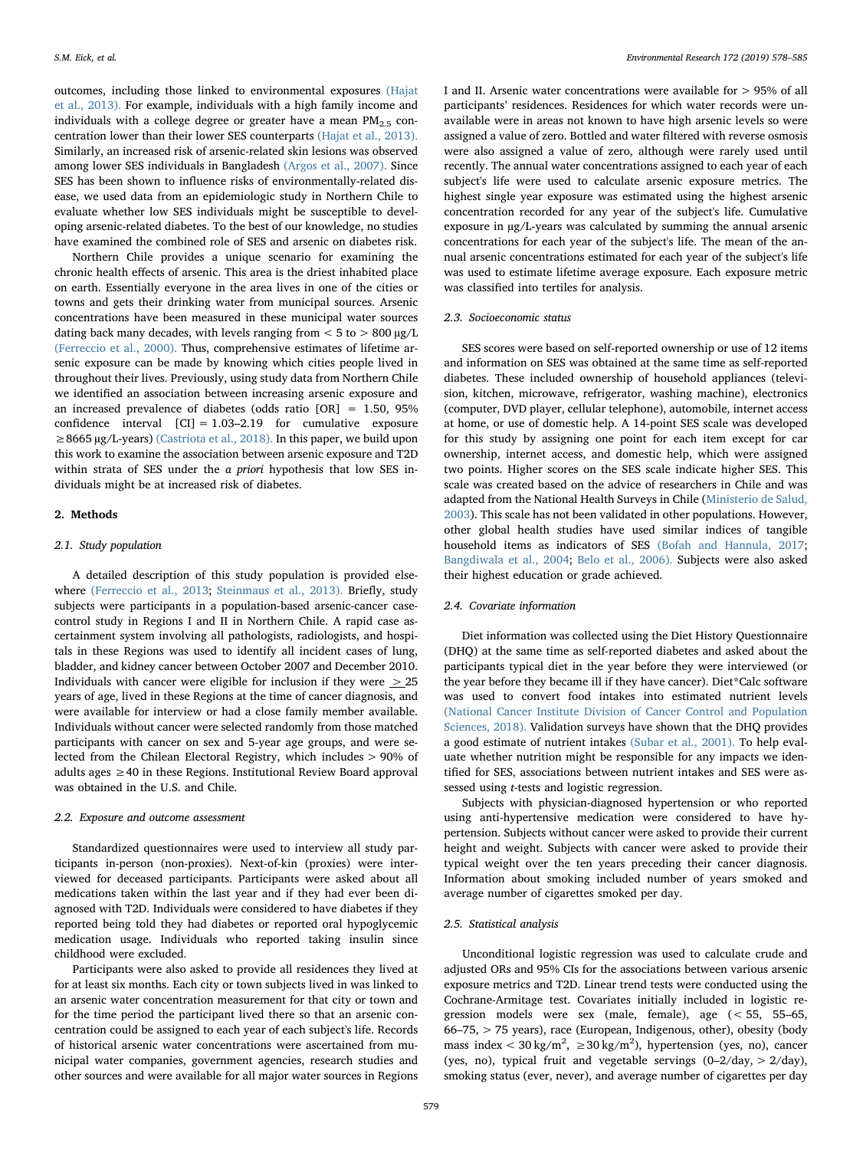outcomes, including those linked to environmental exposures [\(Hajat](#page-6-9) [et al., 2013\).](#page-6-9) For example, individuals with a high family income and individuals with a college degree or greater have a mean  $PM<sub>2.5</sub>$  concentration lower than their lower SES counterparts [\(Hajat et al., 2013\).](#page-6-9) Similarly, an increased risk of arsenic-related skin lesions was observed among lower SES individuals in Bangladesh [\(Argos et al., 2007\).](#page-6-10) Since SES has been shown to influence risks of environmentally-related disease, we used data from an epidemiologic study in Northern Chile to evaluate whether low SES individuals might be susceptible to developing arsenic-related diabetes. To the best of our knowledge, no studies have examined the combined role of SES and arsenic on diabetes risk.

Northern Chile provides a unique scenario for examining the chronic health effects of arsenic. This area is the driest inhabited place on earth. Essentially everyone in the area lives in one of the cities or towns and gets their drinking water from municipal sources. Arsenic concentrations have been measured in these municipal water sources dating back many decades, with levels ranging from  $<$  5 to  $>$  800  $\mu$ g/L [\(Ferreccio et al., 2000\).](#page-6-11) Thus, comprehensive estimates of lifetime arsenic exposure can be made by knowing which cities people lived in throughout their lives. Previously, using study data from Northern Chile we identified an association between increasing arsenic exposure and an increased prevalence of diabetes (odds ratio [OR] = 1.50, 95% confidence interval  $[CI] = 1.03-2.19$  for cumulative exposure ≥8665 µg/L-years) [\(Castriota et al., 2018\).](#page-6-12) In this paper, we build upon this work to examine the association between arsenic exposure and T2D within strata of SES under the a priori hypothesis that low SES individuals might be at increased risk of diabetes.

## 2. Methods

## 2.1. Study population

A detailed description of this study population is provided elsewhere [\(Ferreccio et al., 2013](#page-6-13); [Steinmaus et al., 2013\).](#page-6-14) Briefly, study subjects were participants in a population-based arsenic-cancer casecontrol study in Regions I and II in Northern Chile. A rapid case ascertainment system involving all pathologists, radiologists, and hospitals in these Regions was used to identify all incident cases of lung, bladder, and kidney cancer between October 2007 and December 2010. Individuals with cancer were eligible for inclusion if they were  $>$  25 years of age, lived in these Regions at the time of cancer diagnosis, and were available for interview or had a close family member available. Individuals without cancer were selected randomly from those matched participants with cancer on sex and 5-year age groups, and were selected from the Chilean Electoral Registry, which includes > 90% of adults ages ≥40 in these Regions. Institutional Review Board approval was obtained in the U.S. and Chile.

#### 2.2. Exposure and outcome assessment

Standardized questionnaires were used to interview all study participants in-person (non-proxies). Next-of-kin (proxies) were interviewed for deceased participants. Participants were asked about all medications taken within the last year and if they had ever been diagnosed with T2D. Individuals were considered to have diabetes if they reported being told they had diabetes or reported oral hypoglycemic medication usage. Individuals who reported taking insulin since childhood were excluded.

Participants were also asked to provide all residences they lived at for at least six months. Each city or town subjects lived in was linked to an arsenic water concentration measurement for that city or town and for the time period the participant lived there so that an arsenic concentration could be assigned to each year of each subject's life. Records of historical arsenic water concentrations were ascertained from municipal water companies, government agencies, research studies and other sources and were available for all major water sources in Regions I and II. Arsenic water concentrations were available for > 95% of all participants' residences. Residences for which water records were unavailable were in areas not known to have high arsenic levels so were assigned a value of zero. Bottled and water filtered with reverse osmosis were also assigned a value of zero, although were rarely used until recently. The annual water concentrations assigned to each year of each subject's life were used to calculate arsenic exposure metrics. The highest single year exposure was estimated using the highest arsenic concentration recorded for any year of the subject's life. Cumulative exposure in µg/L-years was calculated by summing the annual arsenic concentrations for each year of the subject's life. The mean of the annual arsenic concentrations estimated for each year of the subject's life was used to estimate lifetime average exposure. Each exposure metric was classified into tertiles for analysis.

## 2.3. Socioeconomic status

SES scores were based on self-reported ownership or use of 12 items and information on SES was obtained at the same time as self-reported diabetes. These included ownership of household appliances (television, kitchen, microwave, refrigerator, washing machine), electronics (computer, DVD player, cellular telephone), automobile, internet access at home, or use of domestic help. A 14-point SES scale was developed for this study by assigning one point for each item except for car ownership, internet access, and domestic help, which were assigned two points. Higher scores on the SES scale indicate higher SES. This scale was created based on the advice of researchers in Chile and was adapted from the National Health Surveys in Chile ([Ministerio de Salud,](#page-6-15) [2003\)](#page-6-15). This scale has not been validated in other populations. However, other global health studies have used similar indices of tangible household items as indicators of SES [\(Bofah and Hannula, 2017](#page-6-16); [Bangdiwala et al., 2004](#page-6-17); [Belo et al., 2006\).](#page-6-18) Subjects were also asked their highest education or grade achieved.

## 2.4. Covariate information

Diet information was collected using the Diet History Questionnaire (DHQ) at the same time as self-reported diabetes and asked about the participants typical diet in the year before they were interviewed (or the year before they became ill if they have cancer). Diet\*Calc software was used to convert food intakes into estimated nutrient levels [\(National Cancer Institute Division of Cancer Control and Population](#page-6-19) [Sciences, 2018\).](#page-6-19) Validation surveys have shown that the DHQ provides a good estimate of nutrient intakes [\(Subar et al., 2001\).](#page-6-20) To help evaluate whether nutrition might be responsible for any impacts we identified for SES, associations between nutrient intakes and SES were assessed using t-tests and logistic regression.

Subjects with physician-diagnosed hypertension or who reported using anti-hypertensive medication were considered to have hypertension. Subjects without cancer were asked to provide their current height and weight. Subjects with cancer were asked to provide their typical weight over the ten years preceding their cancer diagnosis. Information about smoking included number of years smoked and average number of cigarettes smoked per day.

## 2.5. Statistical analysis

Unconditional logistic regression was used to calculate crude and adjusted ORs and 95% CIs for the associations between various arsenic exposure metrics and T2D. Linear trend tests were conducted using the Cochrane-Armitage test. Covariates initially included in logistic regression models were sex (male, female), age (< 55, 55–65, 66–75, > 75 years), race (European, Indigenous, other), obesity (body mass index <  $30 \text{ kg/m}^2$ ,  $\geq 30 \text{ kg/m}^2$ ), hypertension (yes, no), cancer (yes, no), typical fruit and vegetable servings (0–2/day, > 2/day), smoking status (ever, never), and average number of cigarettes per day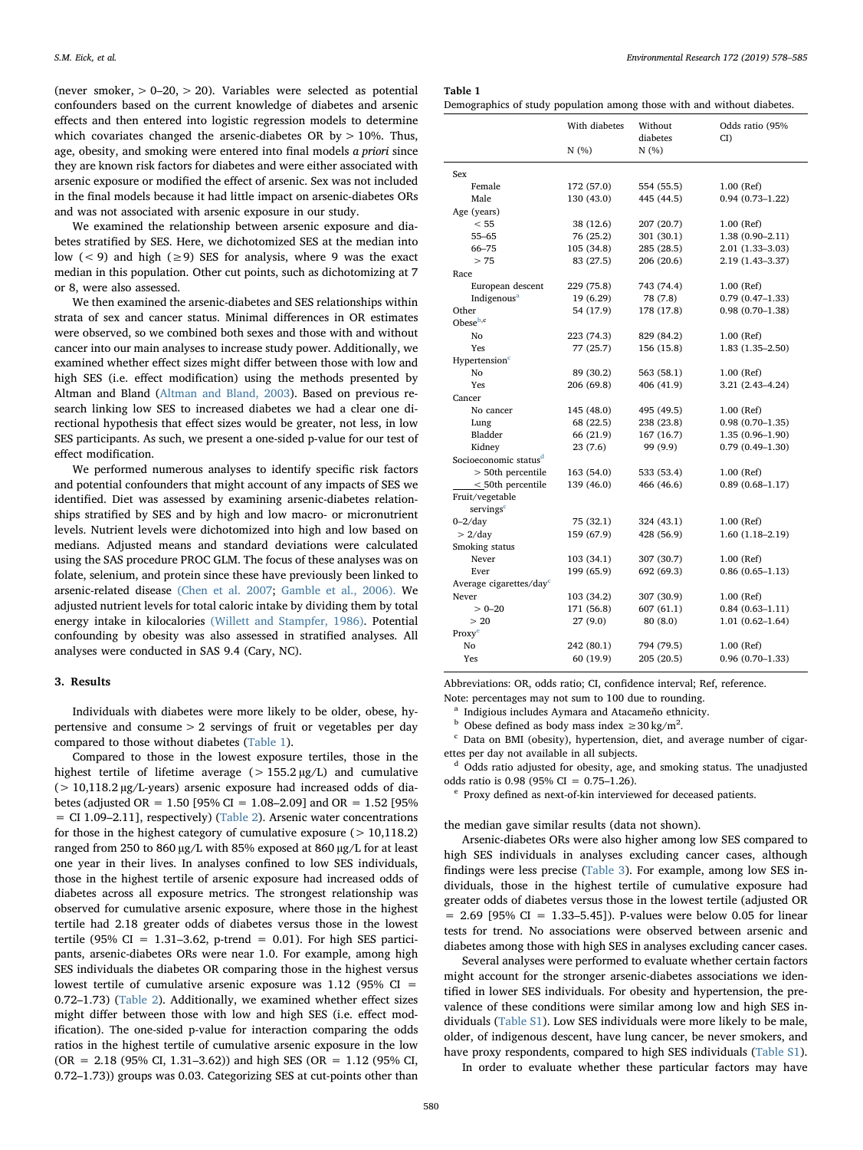(never smoker,  $> 0-20$ ,  $> 20$ ). Variables were selected as potential confounders based on the current knowledge of diabetes and arsenic effects and then entered into logistic regression models to determine which covariates changed the arsenic-diabetes OR by  $> 10\%$ . Thus, age, obesity, and smoking were entered into final models a priori since they are known risk factors for diabetes and were either associated with arsenic exposure or modified the effect of arsenic. Sex was not included in the final models because it had little impact on arsenic-diabetes ORs and was not associated with arsenic exposure in our study.

We examined the relationship between arsenic exposure and diabetes stratified by SES. Here, we dichotomized SES at the median into low (< 9) and high ( $\geq$ 9) SES for analysis, where 9 was the exact median in this population. Other cut points, such as dichotomizing at 7 or 8, were also assessed.

We then examined the arsenic-diabetes and SES relationships within strata of sex and cancer status. Minimal differences in OR estimates were observed, so we combined both sexes and those with and without cancer into our main analyses to increase study power. Additionally, we examined whether effect sizes might differ between those with low and high SES (i.e. effect modification) using the methods presented by Altman and Bland [\(Altman and Bland, 2003](#page-6-21)). Based on previous research linking low SES to increased diabetes we had a clear one directional hypothesis that effect sizes would be greater, not less, in low SES participants. As such, we present a one-sided p-value for our test of effect modification.

We performed numerous analyses to identify specific risk factors and potential confounders that might account of any impacts of SES we identified. Diet was assessed by examining arsenic-diabetes relationships stratified by SES and by high and low macro- or micronutrient levels. Nutrient levels were dichotomized into high and low based on medians. Adjusted means and standard deviations were calculated using the SAS procedure PROC GLM. The focus of these analyses was on folate, selenium, and protein since these have previously been linked to arsenic-related disease [\(Chen et al. 2007](#page-6-22); [Gamble et al., 2006\).](#page-6-23) We adjusted nutrient levels for total caloric intake by dividing them by total energy intake in kilocalories [\(Willett and Stampfer, 1986\)](#page-7-4). Potential confounding by obesity was also assessed in stratified analyses. All analyses were conducted in SAS 9.4 (Cary, NC).

#### 3. Results

Individuals with diabetes were more likely to be older, obese, hypertensive and consume > 2 servings of fruit or vegetables per day compared to those without diabetes [\(Table 1\)](#page-2-0).

Compared to those in the lowest exposure tertiles, those in the highest tertile of lifetime average  $(> 155.2 \mu g/L)$  and cumulative (> 10,118.2 µg/L-years) arsenic exposure had increased odds of diabetes (adjusted OR =  $1.50$  [95% CI =  $1.08-2.09$ ] and OR =  $1.52$  [95% = CI 1.09–2.11], respectively) ([Table](#page-3-0) 2). Arsenic water concentrations for those in the highest category of cumulative exposure  $(>10,118.2)$ ranged from 250 to 860 µg/L with 85% exposed at 860 µg/L for at least one year in their lives. In analyses confined to low SES individuals, those in the highest tertile of arsenic exposure had increased odds of diabetes across all exposure metrics. The strongest relationship was observed for cumulative arsenic exposure, where those in the highest tertile had 2.18 greater odds of diabetes versus those in the lowest tertile (95% CI =  $1.31-3.62$ , p-trend = 0.01). For high SES participants, arsenic-diabetes ORs were near 1.0. For example, among high SES individuals the diabetes OR comparing those in the highest versus lowest tertile of cumulative arsenic exposure was  $1.12$  (95% CI = 0.72–1.73) [\(Table 2](#page-3-0)). Additionally, we examined whether effect sizes might differ between those with low and high SES (i.e. effect modification). The one-sided p-value for interaction comparing the odds ratios in the highest tertile of cumulative arsenic exposure in the low  $(OR = 2.18 (95\% CI, 1.31–3.62))$  and high SES  $(OR = 1.12 (95\% CI, 1.31–3.62))$ 0.72–1.73)) groups was 0.03. Categorizing SES at cut-points other than

<span id="page-2-0"></span>Table 1

| Demographics of study population among those with and without diabetes. |  |  |  |  |  |  |  |
|-------------------------------------------------------------------------|--|--|--|--|--|--|--|
|-------------------------------------------------------------------------|--|--|--|--|--|--|--|

|                                     | With diabetes | Without<br>diabetes | Odds ratio (95%<br>CD |
|-------------------------------------|---------------|---------------------|-----------------------|
|                                     | N (%)         | N(%)                |                       |
| Sex                                 |               |                     |                       |
| Female                              | 172 (57.0)    | 554 (55.5)          | 1.00 (Ref)            |
| Male                                | 130 (43.0)    | 445 (44.5)          | $0.94(0.73 - 1.22)$   |
| Age (years)                         |               |                     |                       |
| < 55                                | 38 (12.6)     | 207 (20.7)          | 1.00 (Ref)            |
| $55 - 65$                           | 76 (25.2)     | 301 (30.1)          | $1.38(0.90 - 2.11)$   |
| 66-75                               | 105 (34.8)    | 285 (28.5)          | $2.01(1.33 - 3.03)$   |
| > 75                                | 83 (27.5)     | 206 (20.6)          | 2.19 (1.43-3.37)      |
| Race                                |               |                     |                       |
| European descent                    | 229 (75.8)    | 743 (74.4)          | 1.00 (Ref)            |
| Indigenous <sup>a</sup>             | 19 (6.29)     | 78 (7.8)            | $0.79(0.47 - 1.33)$   |
| Other                               | 54 (17.9)     | 178 (17.8)          | $0.98(0.70 - 1.38)$   |
| Obese <sup>b,c</sup>                |               |                     |                       |
| No                                  | 223 (74.3)    | 829 (84.2)          | 1.00 (Ref)            |
| Yes                                 | 77 (25.7)     | 156 (15.8)          | $1.83(1.35 - 2.50)$   |
| Hypertension <sup>c</sup>           |               |                     |                       |
| No                                  | 89 (30.2)     | 563 (58.1)          | 1.00 (Ref)            |
| Yes                                 | 206 (69.8)    | 406 (41.9)          | $3.21(2.43 - 4.24)$   |
| Cancer                              |               |                     |                       |
| No cancer                           | 145 (48.0)    | 495 (49.5)          | 1.00 (Ref)            |
| Lung                                | 68 (22.5)     | 238 (23.8)          | $0.98(0.70-1.35)$     |
| Bladder                             | 66 (21.9)     | 167 (16.7)          | $1.35(0.96 - 1.90)$   |
| Kidney                              | 23(7.6)       | 99 (9.9)            | $0.79(0.49 - 1.30)$   |
| Socioeconomic status <sup>d</sup>   |               |                     |                       |
| > 50th percentile                   | 163 (54.0)    | 533 (53.4)          | $1.00$ (Ref)          |
| $<$ 50th percentile                 | 139 (46.0)    | 466 (46.6)          | $0.89(0.68 - 1.17)$   |
| Fruit/vegetable                     |               |                     |                       |
| servings <sup>c</sup>               |               |                     |                       |
| $0 - 2$ /day                        | 75 (32.1)     | 324 (43.1)          | $1.00$ (Ref)          |
| > 2/day                             | 159 (67.9)    | 428 (56.9)          | $1.60(1.18-2.19)$     |
| Smoking status                      |               |                     |                       |
| Never                               | 103 (34.1)    | 307 (30.7)          | $1.00$ (Ref)          |
| Ever                                | 199 (65.9)    | 692 (69.3)          | $0.86(0.65 - 1.13)$   |
| Average cigarettes/day <sup>c</sup> |               |                     |                       |
| Never                               | 103 (34.2)    | 307 (30.9)          | 1.00 (Ref)            |
| $> 0 - 20$                          | 171 (56.8)    | 607(61.1)           | $0.84(0.63 - 1.11)$   |
| >20                                 | 27(9.0)       | 80 (8.0)            | $1.01(0.62 - 1.64)$   |
| Proxy <sup>e</sup>                  |               |                     |                       |
| No                                  | 242 (80.1)    | 794 (79.5)          | 1.00 (Ref)            |
| Yes                                 | 60 (19.9)     | 205 (20.5)          | $0.96(0.70-1.33)$     |

Abbreviations: OR, odds ratio; CI, confidence interval; Ref, reference.

<span id="page-2-1"></span>Note: percentages may not sum to 100 due to rounding.

<sup>a</sup> Indigious includes Aymara and Atacameňo ethnicity.

<span id="page-2-2"></span><sup>b</sup> Obese defined as body mass index  $\geq 30 \text{ kg/m}^2$ .

<span id="page-2-3"></span><sup>c</sup> Data on BMI (obesity), hypertension, diet, and average number of cigarettes per day not available in all subjects.

<span id="page-2-4"></span><sup>d</sup> Odds ratio adjusted for obesity, age, and smoking status. The unadjusted odds ratio is 0.98 (95% CI = 0.75–1.26).

<span id="page-2-5"></span><sup>e</sup> Proxy defined as next-of-kin interviewed for deceased patients.

the median gave similar results (data not shown).

Arsenic-diabetes ORs were also higher among low SES compared to high SES individuals in analyses excluding cancer cases, although findings were less precise ([Table 3\)](#page-4-0). For example, among low SES individuals, those in the highest tertile of cumulative exposure had greater odds of diabetes versus those in the lowest tertile (adjusted OR  $= 2.69$  [95% CI  $= 1.33 - 5.45$ ]). P-values were below 0.05 for linear tests for trend. No associations were observed between arsenic and diabetes among those with high SES in analyses excluding cancer cases.

Several analyses were performed to evaluate whether certain factors might account for the stronger arsenic-diabetes associations we identified in lower SES individuals. For obesity and hypertension, the prevalence of these conditions were similar among low and high SES individuals (Table S1). Low SES individuals were more likely to be male, older, of indigenous descent, have lung cancer, be never smokers, and have proxy respondents, compared to high SES individuals (Table S1).

In order to evaluate whether these particular factors may have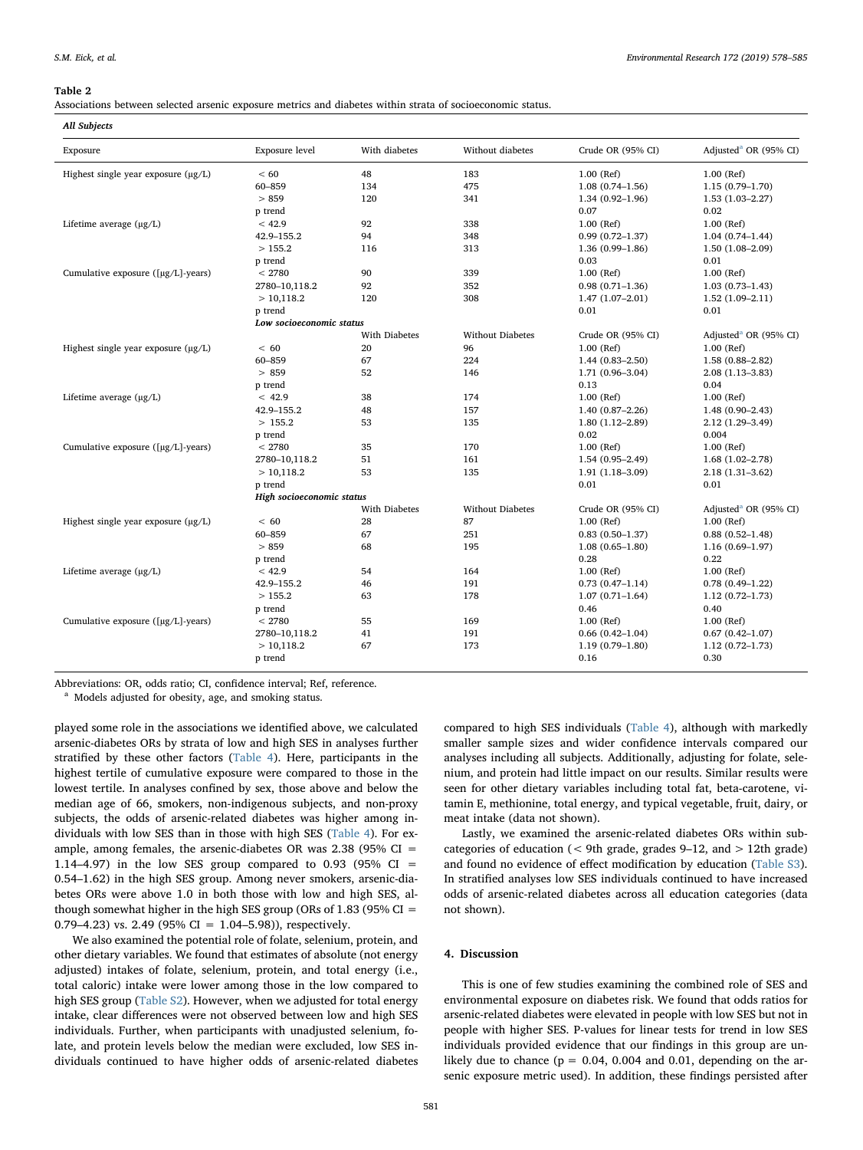#### <span id="page-3-0"></span>Table 2

Associations between selected arsenic exposure metrics and diabetes within strata of socioeconomic status.

| All Subjects                                             |                           |                      |                         |                     |                                   |
|----------------------------------------------------------|---------------------------|----------------------|-------------------------|---------------------|-----------------------------------|
| Exposure                                                 | Exposure level            | With diabetes        | Without diabetes        | Crude OR (95% CI)   | Adjusted <sup>a</sup> OR (95% CI) |
| Highest single year exposure $(\mu g/L)$                 | < 60                      | 48                   | 183                     | $1.00$ (Ref)        | $1.00$ (Ref)                      |
|                                                          | 60-859                    | 134                  | 475                     | $1.08(0.74 - 1.56)$ | $1.15(0.79 - 1.70)$               |
|                                                          | > 859                     | 120                  | 341                     | $1.34(0.92 - 1.96)$ | $1.53(1.03 - 2.27)$               |
|                                                          | p trend                   |                      |                         | 0.07                | 0.02                              |
| Lifetime average (µg/L)                                  | < 42.9                    | 92                   | 338                     | $1.00$ (Ref)        | 1.00 (Ref)                        |
|                                                          | 42.9-155.2                | 94                   | 348                     | $0.99(0.72 - 1.37)$ | $1.04(0.74 - 1.44)$               |
|                                                          | >155.2                    | 116                  | 313                     | $1.36(0.99 - 1.86)$ | $1.50(1.08-2.09)$                 |
|                                                          | p trend                   |                      |                         | 0.03                | 0.01                              |
| Cumulative exposure ([µg/L]-years)                       | < 2780                    | 90                   | 339                     | $1.00$ (Ref)        | 1.00 (Ref)                        |
|                                                          | 2780-10,118.2             | 92                   | 352                     | $0.98(0.71 - 1.36)$ | $1.03(0.73 - 1.43)$               |
|                                                          | >10,118.2                 | 120                  | 308                     | $1.47(1.07-2.01)$   | $1.52(1.09 - 2.11)$               |
|                                                          | p trend                   |                      |                         | 0.01                | 0.01                              |
|                                                          | Low socioeconomic status  |                      |                         |                     |                                   |
|                                                          |                           | <b>With Diabetes</b> | <b>Without Diabetes</b> | Crude OR (95% CI)   | Adjusted <sup>a</sup> OR (95% CI) |
| Highest single year exposure $(\mu g/L)$                 | <60                       | 20                   | 96                      | $1.00$ (Ref)        | 1.00 (Ref)                        |
|                                                          | 60-859                    | 67                   | 224                     | $1.44(0.83 - 2.50)$ | $1.58(0.88 - 2.82)$               |
|                                                          | > 859                     | 52                   | 146                     | $1.71(0.96 - 3.04)$ | $2.08(1.13 - 3.83)$               |
|                                                          | p trend                   |                      |                         | 0.13                | 0.04                              |
| Lifetime average $(\mu g/L)$                             | < 42.9                    | 38                   | 174                     | $1.00$ (Ref)        | 1.00 (Ref)                        |
|                                                          | 42.9-155.2                | 48                   | 157                     | $1.40(0.87 - 2.26)$ | $1.48(0.90 - 2.43)$               |
|                                                          | >155.2                    | 53                   | 135                     | $1.80(1.12 - 2.89)$ | 2.12 (1.29-3.49)                  |
|                                                          | p trend                   |                      |                         | 0.02                | 0.004                             |
| Cumulative exposure $(\lceil \mu g/L \rceil - \nu ears)$ | < 2780                    | 35                   | 170                     | $1.00$ (Ref)        | $1.00$ (Ref)                      |
|                                                          | 2780-10,118.2             | 51                   | 161                     | $1.54(0.95 - 2.49)$ | $1.68(1.02 - 2.78)$               |
|                                                          | >10,118.2                 | 53                   | 135                     | $1.91(1.18-3.09)$   | $2.18(1.31 - 3.62)$               |
|                                                          | p trend                   |                      |                         | 0.01                | 0.01                              |
|                                                          | High socioeconomic status |                      |                         |                     |                                   |
|                                                          |                           | With Diabetes        | <b>Without Diabetes</b> | Crude OR (95% CI)   | Adjusted <sup>a</sup> OR (95% CI) |
| Highest single year exposure (µg/L)                      | < 60                      | 28                   | 87                      | $1.00$ (Ref)        | $1.00$ (Ref)                      |
|                                                          | 60-859                    | 67                   | 251                     | $0.83(0.50-1.37)$   | $0.88(0.52 - 1.48)$               |
|                                                          | > 859                     | 68                   | 195                     | $1.08(0.65 - 1.80)$ | $1.16(0.69 - 1.97)$               |
|                                                          | p trend                   |                      |                         | 0.28                | 0.22                              |
| Lifetime average $(\mu g/L)$                             | < 42.9                    | 54                   | 164                     | $1.00$ (Ref)        | $1.00$ (Ref)                      |
|                                                          | 42.9-155.2                | 46                   | 191                     | $0.73(0.47 - 1.14)$ | $0.78(0.49-1.22)$                 |
|                                                          | >155.2                    | 63                   | 178                     | $1.07(0.71 - 1.64)$ | $1.12(0.72 - 1.73)$               |
|                                                          | p trend                   |                      |                         | 0.46                | 0.40                              |
| Cumulative exposure ([µg/L]-years)                       | < 2780                    | 55                   | 169                     | $1.00$ (Ref)        | 1.00 (Ref)                        |
|                                                          | 2780-10,118.2             | 41                   | 191                     | $0.66(0.42 - 1.04)$ | $0.67(0.42 - 1.07)$               |
|                                                          | >10,118.2                 | 67                   | 173                     | $1.19(0.79 - 1.80)$ | $1.12(0.72 - 1.73)$               |
|                                                          | p trend                   |                      |                         | 0.16                | 0.30                              |

Abbreviations: OR, odds ratio; CI, confidence interval; Ref, reference.

<span id="page-3-1"></span><sup>a</sup> Models adjusted for obesity, age, and smoking status.

played some role in the associations we identified above, we calculated arsenic-diabetes ORs by strata of low and high SES in analyses further stratified by these other factors ([Table 4\)](#page-5-0). Here, participants in the highest tertile of cumulative exposure were compared to those in the lowest tertile. In analyses confined by sex, those above and below the median age of 66, smokers, non-indigenous subjects, and non-proxy subjects, the odds of arsenic-related diabetes was higher among individuals with low SES than in those with high SES ([Table 4\)](#page-5-0). For example, among females, the arsenic-diabetes OR was  $2.38$  (95% CI = 1.14–4.97) in the low SES group compared to 0.93 (95%  $CI =$ 0.54–1.62) in the high SES group. Among never smokers, arsenic-diabetes ORs were above 1.0 in both those with low and high SES, although somewhat higher in the high SES group (ORs of  $1.83$  (95% CI = 0.79–4.23) vs. 2.49 (95% CI =  $1.04$ –5.98)), respectively.

We also examined the potential role of folate, selenium, protein, and other dietary variables. We found that estimates of absolute (not energy adjusted) intakes of folate, selenium, protein, and total energy (i.e., total caloric) intake were lower among those in the low compared to high SES group (Table S2). However, when we adjusted for total energy intake, clear differences were not observed between low and high SES individuals. Further, when participants with unadjusted selenium, folate, and protein levels below the median were excluded, low SES individuals continued to have higher odds of arsenic-related diabetes

compared to high SES individuals [\(Table 4](#page-5-0)), although with markedly smaller sample sizes and wider confidence intervals compared our analyses including all subjects. Additionally, adjusting for folate, selenium, and protein had little impact on our results. Similar results were seen for other dietary variables including total fat, beta-carotene, vitamin E, methionine, total energy, and typical vegetable, fruit, dairy, or meat intake (data not shown).

Lastly, we examined the arsenic-related diabetes ORs within subcategories of education (< 9th grade, grades 9–12, and > 12th grade) and found no evidence of effect modification by education (Table S3). In stratified analyses low SES individuals continued to have increased odds of arsenic-related diabetes across all education categories (data not shown).

#### 4. Discussion

This is one of few studies examining the combined role of SES and environmental exposure on diabetes risk. We found that odds ratios for arsenic-related diabetes were elevated in people with low SES but not in people with higher SES. P-values for linear tests for trend in low SES individuals provided evidence that our findings in this group are unlikely due to chance ( $p = 0.04$ , 0.004 and 0.01, depending on the arsenic exposure metric used). In addition, these findings persisted after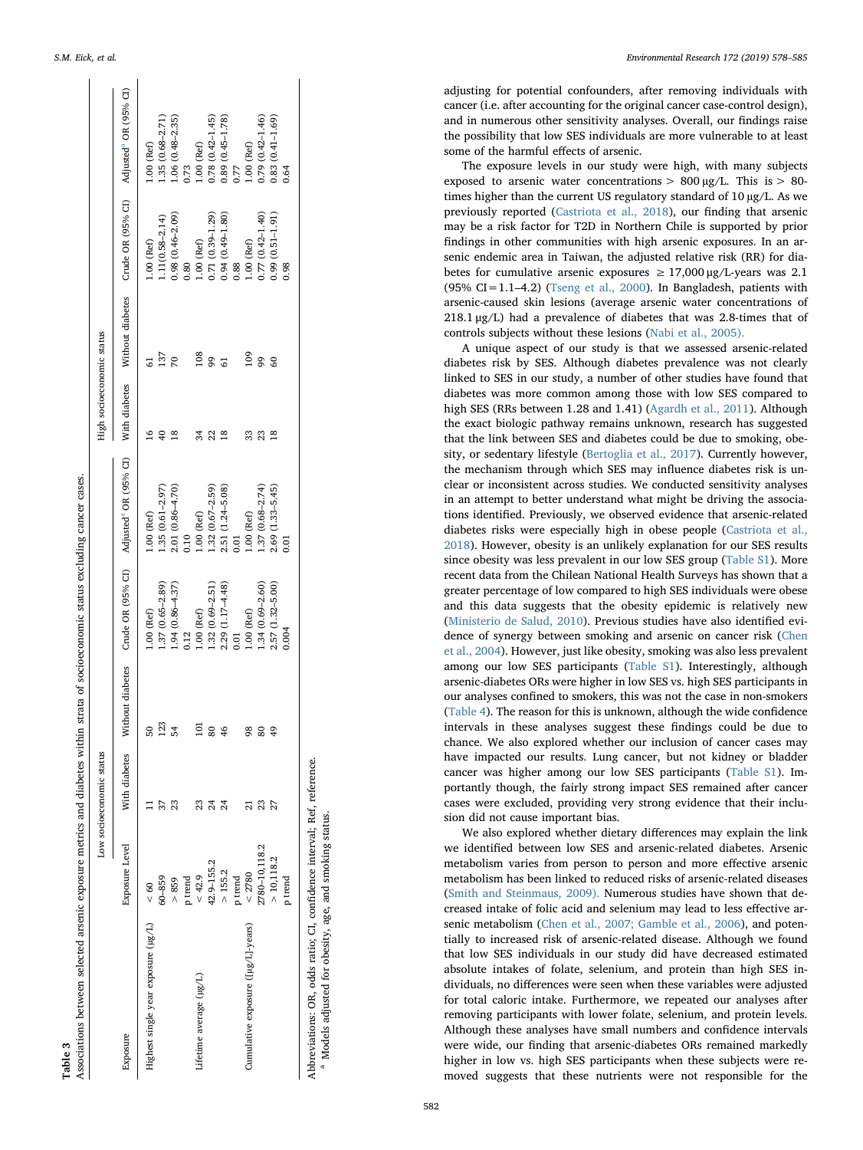<span id="page-4-0"></span>

|                                     |                       | Low socioeconomic status |    |                     |                                                                      | High socioeconomic status |                 |                                                                                    |                     |
|-------------------------------------|-----------------------|--------------------------|----|---------------------|----------------------------------------------------------------------|---------------------------|-----------------|------------------------------------------------------------------------------------|---------------------|
| Exposure                            | <b>Exposure</b> Level | With diabetes            |    |                     | Vithout diabetes Crude OR (95% CI) Adjusted <sup>a</sup> OR (95% CI) |                           |                 | With diabetes Without diabetes Crude OR (95% CI) Adjusted <sup>a</sup> OR (95% CI) |                     |
| Highest single year exposure (µg/L) | $\frac{60}{5}$        |                          | ¢  | $1.00$ (Ref)        | $1.00$ (Ref)                                                         | $\tilde{e}$               | 5               | $1.00$ (Ref)                                                                       | $1.00$ (Ref)        |
|                                     | 66-99                 | 57                       | 23 | $1.37(0.65 - 2.89)$ | $1.35(0.61 - 2.97)$                                                  | $\overline{40}$           | 137             | $1.11(0.58 - 2.14)$                                                                | $1.35(0.68 - 2.71)$ |
|                                     | > 859                 | 23                       | 54 | $1.94(0.86 - 4.37)$ | 2.01 (0.86-4.70)                                                     | ≌                         | 70              | $0.98(0.46 - 2.09)$                                                                | $1.06(0.48 - 2.35)$ |
|                                     | p trend               |                          |    | 0.12                | 0.10                                                                 |                           |                 | 0.80                                                                               | 0.73                |
| Lifetime average (µg/L)             | < 42.9                | ೫                        | 5  | $1.00$ (Ref)        | $1.00$ (Ref)                                                         | 34                        | 108             | $1.00$ (Ref)                                                                       | $1.00$ (Ref)        |
|                                     | 42.9-155.2            | 24                       | 80 | $1.32(0.69 - 2.51)$ | $1.32(0.67 - 2.59)$                                                  | 22                        | 99              | 0.71 (0.39-1.29)                                                                   | $0.78(0.42 - 1.45)$ |
|                                     | > 155.2               | 24                       | ٩  | 2.29 (1.17-4.48)    | 2.51 (1.24-5.08)                                                     | ≌                         | 5               | $0.94(0.49 - 1.80)$                                                                | 0.89 (0.45-1.78)    |
|                                     | p trend               |                          |    | 0.01                | 0.01                                                                 |                           |                 | 0.88                                                                               | 77                  |
| Cumulative exposure ([µg/L]-years)  | ${}_{<}$ 2780         | ನ                        | 98 | $1.00$ (Ref)        | $1.00$ (Ref)                                                         | 33                        | 109             | $1.00$ (Ref)                                                                       | $.00$ (Ref)         |
|                                     | 2780-10,118.2         | 23                       | 80 | $1.34(0.69 - 2.60)$ | 1.37 (0.68-2.74)                                                     | 23                        | 99              | $0.77(0.42 - 1.40)$                                                                | 0.79 (0.42-1.46)    |
|                                     | > 10,118.2            | 27                       | σ  | 2.57 (1.32-5.00)    | 2.69 (1.33-5.45)                                                     | ≌                         | $\overline{60}$ | $0.99(0.51 - 1.91)$                                                                | $0.83(0.41 - 1.69)$ |
|                                     | p trend               |                          |    | 0.004               | 0.01                                                                 |                           |                 | 0.98                                                                               | 0.64                |

Abbreviations: OR, odds ratio; CI, confidence interval; Ref, reference. Abbreviations: OR, odds ratio; CI, confidence interval; Ref, reference.

 Models adjusted for obesity, age, and smoking status. Models adjusted for obesity, age, and smoking status

a

<span id="page-4-1"></span>adjusting for potential confounders, after removing individuals with cancer (i.e. after accounting for the original cancer case-control design), and in numerous other sensitivity analyses. Overall, our findings raise the possibility that low SES individuals are more vulnerable to at least some of the harmful e ffects of arsenic.

The exposure levels in our study were high, with many subjects exposed to arsenic water concentrations  $> 800 \mu g/L$ . This is  $> 80$ times higher than the current US regulatory standard of 10 µg/L. As we previously reported ([Castriota et al., 2018\)](#page-6-12), our finding that arsenic may be a risk factor for T2D in Northern Chile is supported by prior findings in other communities with high arsenic exposures. In an arsenic endemic area in Taiwan, the adjusted relative risk (RR) for diabetes for cumulative arsenic exposures  $\geq 17,000$  μg/L-years was 2.1  $(95\% \text{ CI} = 1.1 - 4.2)$  ([Tseng et al., 2000\)](#page-7-5). In Bangladesh, patients with arsenic-caused skin lesions (average arsenic water concentrations of 218.1 μg/L) had a prevalence of diabetes that was 2.8-times that of controls subjects without these lesions ([Nabi et al., 2005\).](#page-6-24)

A unique aspect of our study is that we assessed arsenic-related diabetes risk by SES. Although diabetes prevalence was not clearly linked to SES in our study, a number of other studies have found that diabetes was more common among those with low SES compared to high SES (RRs between 1.28 and 1.41) ([Agardh et al., 2011](#page-6-7)). Although the exact biologic pathway remains unknown, research has suggested that the link between SES and diabetes could be due to smoking, obesity, or sedentary lifestyle ([Bertoglia et al., 2017\)](#page-6-8). Currently however, the mechanism through which SES may in fluence diabetes risk is unclear or inconsistent across studies. We conducted sensitivity analyses in an attempt to better understand what might be driving the associations identified. Previously, we observed evidence that arsenic-related diabetes risks were especially high in obese people [\(Castriota et al.,](#page-6-12) [2018\)](#page-6-12). However, obesity is an unlikely explanation for our SES results since obesity was less prevalent in our low SES group (Table S1). More recent data from the Chilean National Health Surveys has shown that a greater percentage of low compared to high SES individuals were obese and this data suggests that the obesity epidemic is relatively new ([Ministerio de Salud, 2010\)](#page-6-25). Previous studies have also identified evidence of synergy between smoking and arsenic on cancer risk ([Chen](#page-6-26) [et al., 2004\)](#page-6-26). However, just like obesity, smoking was also less prevalent among our low SES participants (Table S1). Interestingly, although arsenic-diabetes ORs were higher in low SES vs. high SES participants in our analyses con fined to smokers, this was not the case in non-smokers ([Table 4\)](#page-5-0). The reason for this is unknown, although the wide con fidence intervals in these analyses suggest these findings could be due to chance. We also explored whether our inclusion of cancer cases may have impacted our results. Lung cancer, but not kidney or bladder cancer was higher among our low SES participants (Table S1). Importantly though, the fairly strong impact SES remained after cancer cases were excluded, providing very strong evidence that their inclusion did not cause important bias.

We also explored whether dietary di fferences may explain the link we identi fied between low SES and arsenic-related diabetes. Arsenic metabolism varies from person to person and more e ffective arsenic metabolism has been linked to reduced risks of arsenic-related diseases ([Smith and Steinmaus, 2009\).](#page-6-27) Numerous studies have shown that decreased intake of folic acid and selenium may lead to less effective arsenic metabolism ([Chen et al., 2007; Gamble et al., 2006](#page-6-22)), and potentially to increased risk of arsenic-related disease. Although we found that low SES individuals in our study did have decreased estimated absolute intakes of folate, selenium, and protein than high SES individuals, no differences were seen when these variables were adjusted for total caloric intake. Furthermore, we repeated our analyses after removing participants with lower folate, selenium, and protein levels. Although these analyses have small numbers and con fidence intervals were wide, our finding that arsenic-diabetes ORs remained markedly higher in low vs. high SES participants when these subjects were removed suggests that these nutrients were not responsible for the

Table 3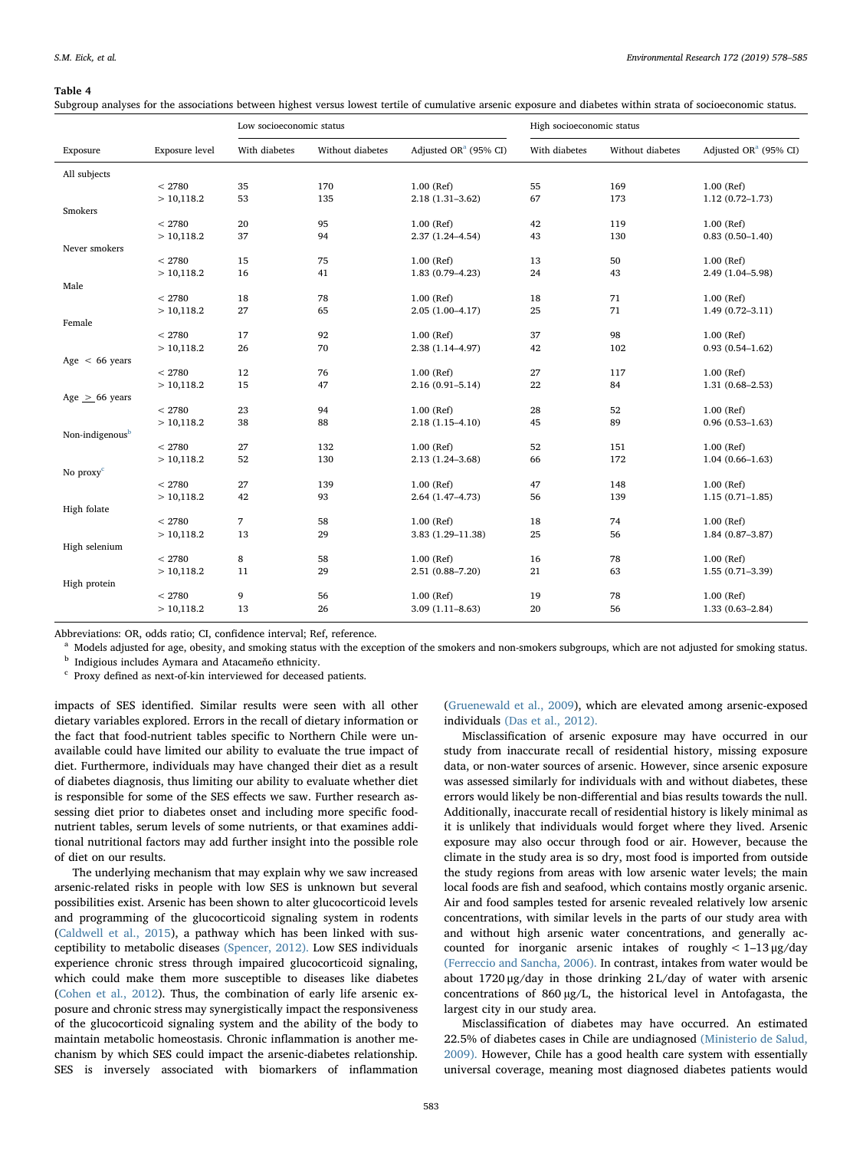#### <span id="page-5-0"></span>Table 4

Subgroup analyses for the associations between highest versus lowest tertile of cumulative arsenic exposure and diabetes within strata of socioeconomic status.

|                             |                | Low socioeconomic status |                  |                                   | High socioeconomic status |                  |                                                |
|-----------------------------|----------------|--------------------------|------------------|-----------------------------------|---------------------------|------------------|------------------------------------------------|
| Exposure                    | Exposure level | With diabetes            | Without diabetes | Adjusted OR <sup>a</sup> (95% CI) | With diabetes             | Without diabetes | Adjusted OR <sup><math>a</math></sup> (95% CI) |
| All subjects                |                |                          |                  |                                   |                           |                  |                                                |
|                             | < 2780         | 35                       | 170              | $1.00$ (Ref)                      | 55                        | 169              | 1.00 (Ref)                                     |
|                             | >10,118.2      | 53                       | 135              | $2.18(1.31 - 3.62)$               | 67                        | 173              | $1.12(0.72 - 1.73)$                            |
| Smokers                     |                |                          |                  |                                   |                           |                  |                                                |
|                             | < 2780         | 20                       | 95               | $1.00$ (Ref)                      | 42                        | 119              | 1.00 (Ref)                                     |
|                             | >10,118.2      | 37                       | 94               | $2.37(1.24 - 4.54)$               | 43                        | 130              | $0.83(0.50-1.40)$                              |
| Never smokers               |                |                          |                  |                                   |                           |                  |                                                |
|                             | < 2780         | 15                       | 75               | $1.00$ (Ref)                      | 13                        | 50               | 1.00 (Ref)                                     |
|                             | >10,118.2      | 16                       | 41               | $1.83(0.79 - 4.23)$               | 24                        | 43               | 2.49 (1.04-5.98)                               |
| Male                        |                |                          |                  |                                   |                           |                  |                                                |
|                             | < 2780         | 18                       | 78               | 1.00 (Ref)                        | 18                        | 71               | 1.00 (Ref)                                     |
|                             | >10,118.2      | 27                       | 65               | $2.05(1.00-4.17)$                 | 25                        | 71               | $1.49(0.72 - 3.11)$                            |
| Female                      |                |                          |                  |                                   |                           |                  |                                                |
|                             | < 2780         | 17                       | 92               | $1.00$ (Ref)                      | 37                        | 98               | 1.00 (Ref)                                     |
|                             | >10,118.2      | 26                       | 70               | 2.38 (1.14-4.97)                  | 42                        | 102              | $0.93(0.54 - 1.62)$                            |
| Age $< 66$ years            | < 2780         | 12                       | 76               | $1.00$ (Ref)                      | 27                        | 117              | 1.00 (Ref)                                     |
|                             |                | 15                       | 47               |                                   | 22                        | 84               |                                                |
|                             | >10,118.2      |                          |                  | $2.16(0.91 - 5.14)$               |                           |                  | $1.31(0.68 - 2.53)$                            |
| Age $> 66$ years            | < 2780         | 23                       | 94               | $1.00$ (Ref)                      | 28                        | 52               | 1.00 (Ref)                                     |
|                             | >10,118.2      | 38                       | 88               | $2.18(1.15 - 4.10)$               | 45                        | 89               | $0.96(0.53 - 1.63)$                            |
| Non-indigenous <sup>b</sup> |                |                          |                  |                                   |                           |                  |                                                |
|                             | < 2780         | 27                       | 132              | $1.00$ (Ref)                      | 52                        | 151              | 1.00 (Ref)                                     |
|                             | >10,118.2      | 52                       | 130              | 2.13 (1.24-3.68)                  | 66                        | 172              | $1.04(0.66 - 1.63)$                            |
| No $proxyc$                 |                |                          |                  |                                   |                           |                  |                                                |
|                             | < 2780         | 27                       | 139              | $1.00$ (Ref)                      | 47                        | 148              | 1.00 (Ref)                                     |
|                             | >10,118.2      | 42                       | 93               | $2.64(1.47-4.73)$                 | 56                        | 139              | $1.15(0.71 - 1.85)$                            |
| High folate                 |                |                          |                  |                                   |                           |                  |                                                |
|                             | < 2780         | 7                        | 58               | 1.00 (Ref)                        | 18                        | 74               | 1.00 (Ref)                                     |
|                             | >10,118.2      | 13                       | 29               | 3.83 (1.29-11.38)                 | 25                        | 56               | $1.84(0.87 - 3.87)$                            |
| High selenium               |                |                          |                  |                                   |                           |                  |                                                |
|                             | < 2780         | 8                        | 58               | 1.00 (Ref)                        | 16                        | 78               | 1.00 (Ref)                                     |
|                             | >10,118.2      | 11                       | 29               | $2.51(0.88 - 7.20)$               | 21                        | 63               | $1.55(0.71-3.39)$                              |
| High protein                |                |                          |                  |                                   |                           |                  |                                                |
|                             | < 2780         | 9                        | 56               | 1.00 (Ref)                        | 19                        | 78               | 1.00 (Ref)                                     |
|                             | >10,118.2      | 13                       | 26               | $3.09(1.11 - 8.63)$               | 20                        | 56               | $1.33(0.63 - 2.84)$                            |
|                             |                |                          |                  |                                   |                           |                  |                                                |

Abbreviations: OR, odds ratio; CI, confidence interval; Ref, reference.

<span id="page-5-1"></span><sup>a</sup> Models adjusted for age, obesity, and smoking status with the exception of the smokers and non-smokers subgroups, which are not adjusted for smoking status.

<span id="page-5-2"></span>**b** Indigious includes Aymara and Atacameňo ethnicity.

<span id="page-5-3"></span>Proxy defined as next-of-kin interviewed for deceased patients.

impacts of SES identified. Similar results were seen with all other dietary variables explored. Errors in the recall of dietary information or the fact that food-nutrient tables specific to Northern Chile were unavailable could have limited our ability to evaluate the true impact of diet. Furthermore, individuals may have changed their diet as a result of diabetes diagnosis, thus limiting our ability to evaluate whether diet is responsible for some of the SES effects we saw. Further research assessing diet prior to diabetes onset and including more specific foodnutrient tables, serum levels of some nutrients, or that examines additional nutritional factors may add further insight into the possible role of diet on our results.

The underlying mechanism that may explain why we saw increased arsenic-related risks in people with low SES is unknown but several possibilities exist. Arsenic has been shown to alter glucocorticoid levels and programming of the glucocorticoid signaling system in rodents ([Caldwell et al., 2015\)](#page-6-28), a pathway which has been linked with susceptibility to metabolic diseases [\(Spencer, 2012\).](#page-6-29) Low SES individuals experience chronic stress through impaired glucocorticoid signaling, which could make them more susceptible to diseases like diabetes ([Cohen et al., 2012](#page-6-30)). Thus, the combination of early life arsenic exposure and chronic stress may synergistically impact the responsiveness of the glucocorticoid signaling system and the ability of the body to maintain metabolic homeostasis. Chronic inflammation is another mechanism by which SES could impact the arsenic-diabetes relationship. SES is inversely associated with biomarkers of inflammation

([Gruenewald et al., 2009](#page-6-31)), which are elevated among arsenic-exposed individuals [\(Das et al., 2012\).](#page-6-32)

Misclassification of arsenic exposure may have occurred in our study from inaccurate recall of residential history, missing exposure data, or non-water sources of arsenic. However, since arsenic exposure was assessed similarly for individuals with and without diabetes, these errors would likely be non-differential and bias results towards the null. Additionally, inaccurate recall of residential history is likely minimal as it is unlikely that individuals would forget where they lived. Arsenic exposure may also occur through food or air. However, because the climate in the study area is so dry, most food is imported from outside the study regions from areas with low arsenic water levels; the main local foods are fish and seafood, which contains mostly organic arsenic. Air and food samples tested for arsenic revealed relatively low arsenic concentrations, with similar levels in the parts of our study area with and without high arsenic water concentrations, and generally accounted for inorganic arsenic intakes of roughly < 1–13 μg/day [\(Ferreccio and Sancha, 2006\).](#page-6-33) In contrast, intakes from water would be about 1720 μg/day in those drinking 2 L/day of water with arsenic concentrations of 860 µg/L, the historical level in Antofagasta, the largest city in our study area.

Misclassification of diabetes may have occurred. An estimated 22.5% of diabetes cases in Chile are undiagnosed [\(Ministerio de Salud,](#page-6-34) [2009\).](#page-6-34) However, Chile has a good health care system with essentially universal coverage, meaning most diagnosed diabetes patients would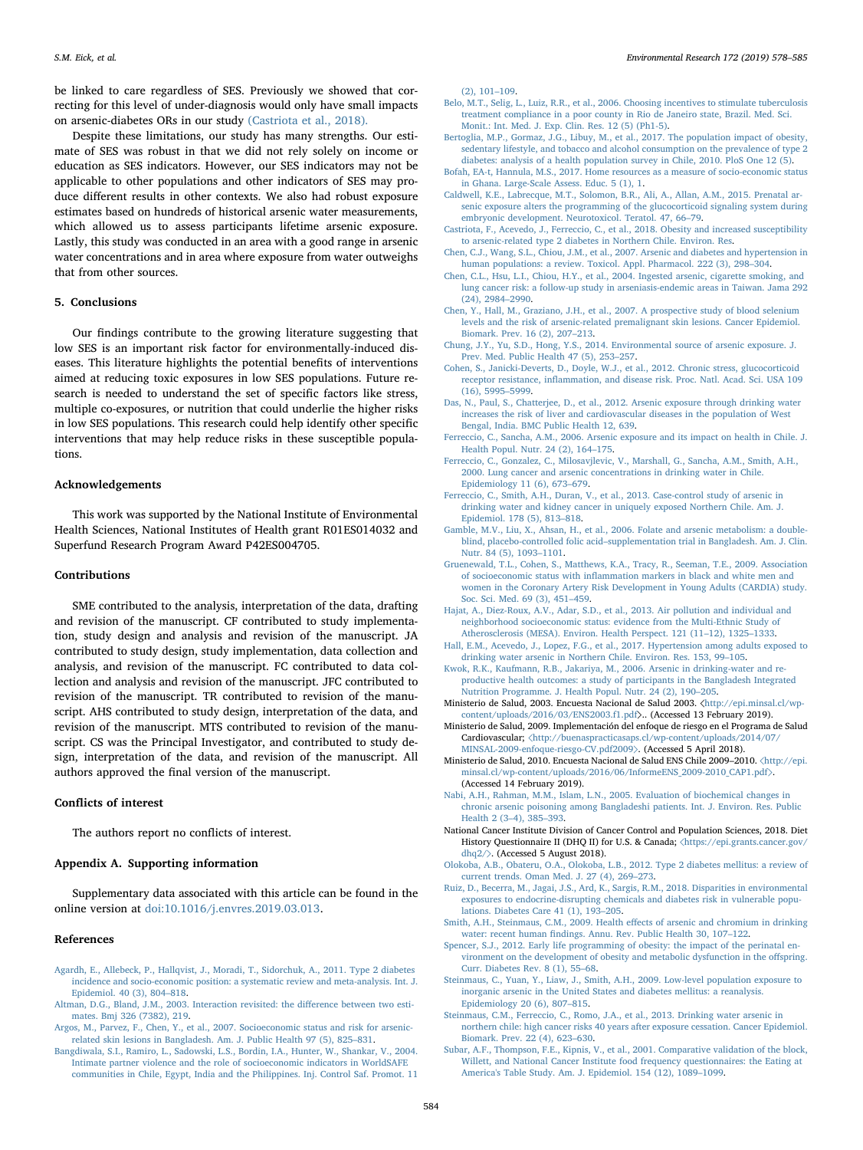be linked to care regardless of SES. Previously we showed that correcting for this level of under-diagnosis would only have small impacts on arsenic-diabetes ORs in our study [\(Castriota et al., 2018\).](#page-6-12)

Despite these limitations, our study has many strengths. Our estimate of SES was robust in that we did not rely solely on income or education as SES indicators. However, our SES indicators may not be applicable to other populations and other indicators of SES may produce different results in other contexts. We also had robust exposure estimates based on hundreds of historical arsenic water measurements, which allowed us to assess participants lifetime arsenic exposure. Lastly, this study was conducted in an area with a good range in arsenic water concentrations and in area where exposure from water outweighs that from other sources.

## 5. Conclusions

Our findings contribute to the growing literature suggesting that low SES is an important risk factor for environmentally-induced diseases. This literature highlights the potential benefits of interventions aimed at reducing toxic exposures in low SES populations. Future research is needed to understand the set of specific factors like stress, multiple co-exposures, or nutrition that could underlie the higher risks in low SES populations. This research could help identify other specific interventions that may help reduce risks in these susceptible populations.

#### Acknowledgements

This work was supported by the National Institute of Environmental Health Sciences, National Institutes of Health grant R01ES014032 and Superfund Research Program Award P42ES004705.

## **Contributions**

SME contributed to the analysis, interpretation of the data, drafting and revision of the manuscript. CF contributed to study implementation, study design and analysis and revision of the manuscript. JA contributed to study design, study implementation, data collection and analysis, and revision of the manuscript. FC contributed to data collection and analysis and revision of the manuscript. JFC contributed to revision of the manuscript. TR contributed to revision of the manuscript. AHS contributed to study design, interpretation of the data, and revision of the manuscript. MTS contributed to revision of the manuscript. CS was the Principal Investigator, and contributed to study design, interpretation of the data, and revision of the manuscript. All authors approved the final version of the manuscript.

## Conflicts of interest

The authors report no conflicts of interest.

## Appendix A. Supporting information

Supplementary data associated with this article can be found in the online version at [doi:10.1016/j.envres.2019.03.013](https://doi.org/10.1016/j.envres.2019.03.013).

#### References

- <span id="page-6-7"></span>[Agardh, E., Allebeck, P., Hallqvist, J., Moradi, T., Sidorchuk, A., 2011. Type 2 diabetes](http://refhub.elsevier.com/S0013-9351(19)30141-0/sbref1) [incidence and socio-economic position: a systematic review and meta-analysis. Int. J.](http://refhub.elsevier.com/S0013-9351(19)30141-0/sbref1) [Epidemiol. 40 \(3\), 804](http://refhub.elsevier.com/S0013-9351(19)30141-0/sbref1)–818.
- <span id="page-6-21"></span>[Altman, D.G., Bland, J.M., 2003. Interaction revisited: the di](http://refhub.elsevier.com/S0013-9351(19)30141-0/sbref2)fference between two esti[mates. Bmj 326 \(7382\), 219.](http://refhub.elsevier.com/S0013-9351(19)30141-0/sbref2)
- <span id="page-6-10"></span>[Argos, M., Parvez, F., Chen, Y., et al., 2007. Socioeconomic status and risk for arsenic](http://refhub.elsevier.com/S0013-9351(19)30141-0/sbref3)[related skin lesions in Bangladesh. Am. J. Public Health 97 \(5\), 825](http://refhub.elsevier.com/S0013-9351(19)30141-0/sbref3)–831.
- <span id="page-6-17"></span>[Bangdiwala, S.I., Ramiro, L., Sadowski, L.S., Bordin, I.A., Hunter, W., Shankar, V., 2004.](http://refhub.elsevier.com/S0013-9351(19)30141-0/sbref4) [Intimate partner violence and the role of socioeconomic indicators in WorldSAFE](http://refhub.elsevier.com/S0013-9351(19)30141-0/sbref4) [communities in Chile, Egypt, India and the Philippines. Inj. Control Saf. Promot. 11](http://refhub.elsevier.com/S0013-9351(19)30141-0/sbref4)

[\(2\), 101](http://refhub.elsevier.com/S0013-9351(19)30141-0/sbref4)–109.

- <span id="page-6-18"></span>[Belo, M.T., Selig, L., Luiz, R.R., et al., 2006. Choosing incentives to stimulate tuberculosis](http://refhub.elsevier.com/S0013-9351(19)30141-0/sbref5) [treatment compliance in a poor county in Rio de Janeiro state, Brazil. Med. Sci.](http://refhub.elsevier.com/S0013-9351(19)30141-0/sbref5) [Monit.: Int. Med. J. Exp. Clin. Res. 12 \(5\) \(Ph1-5\).](http://refhub.elsevier.com/S0013-9351(19)30141-0/sbref5)
- <span id="page-6-8"></span>[Bertoglia, M.P., Gormaz, J.G., Libuy, M., et al., 2017. The population impact of obesity,](http://refhub.elsevier.com/S0013-9351(19)30141-0/sbref6) [sedentary lifestyle, and tobacco and alcohol consumption on the prevalence of type 2](http://refhub.elsevier.com/S0013-9351(19)30141-0/sbref6) [diabetes: analysis of a health population survey in Chile, 2010. PloS One 12 \(5\).](http://refhub.elsevier.com/S0013-9351(19)30141-0/sbref6)
- <span id="page-6-16"></span>[Bofah, EA-t, Hannula, M.S., 2017. Home resources as a measure of socio-economic status](http://refhub.elsevier.com/S0013-9351(19)30141-0/sbref7) [in Ghana. Large-Scale Assess. Educ. 5 \(1\), 1.](http://refhub.elsevier.com/S0013-9351(19)30141-0/sbref7)
- <span id="page-6-28"></span>[Caldwell, K.E., Labrecque, M.T., Solomon, B.R., Ali, A., Allan, A.M., 2015. Prenatal ar](http://refhub.elsevier.com/S0013-9351(19)30141-0/sbref8)[senic exposure alters the programming of the glucocorticoid signaling system during](http://refhub.elsevier.com/S0013-9351(19)30141-0/sbref8) [embryonic development. Neurotoxicol. Teratol. 47, 66](http://refhub.elsevier.com/S0013-9351(19)30141-0/sbref8)–79.
- <span id="page-6-12"></span>[Castriota, F., Acevedo, J., Ferreccio, C., et al., 2018. Obesity and increased susceptibility](http://refhub.elsevier.com/S0013-9351(19)30141-0/sbref9) [to arsenic-related type 2 diabetes in Northern Chile. Environ. Res](http://refhub.elsevier.com/S0013-9351(19)30141-0/sbref9).
- <span id="page-6-5"></span>[Chen, C.J., Wang, S.L., Chiou, J.M., et al., 2007. Arsenic and diabetes and hypertension in](http://refhub.elsevier.com/S0013-9351(19)30141-0/sbref10) [human populations: a review. Toxicol. Appl. Pharmacol. 222 \(3\), 298](http://refhub.elsevier.com/S0013-9351(19)30141-0/sbref10)–304.
- <span id="page-6-26"></span>[Chen, C.L., Hsu, L.I., Chiou, H.Y., et al., 2004. Ingested arsenic, cigarette smoking, and](http://refhub.elsevier.com/S0013-9351(19)30141-0/sbref11) [lung cancer risk: a follow-up study in arseniasis-endemic areas in Taiwan. Jama 292](http://refhub.elsevier.com/S0013-9351(19)30141-0/sbref11) [\(24\), 2984](http://refhub.elsevier.com/S0013-9351(19)30141-0/sbref11)–2990.
- <span id="page-6-22"></span>[Chen, Y., Hall, M., Graziano, J.H., et al., 2007. A prospective study of blood selenium](http://refhub.elsevier.com/S0013-9351(19)30141-0/sbref12) [levels and the risk of arsenic-related premalignant skin lesions. Cancer Epidemiol.](http://refhub.elsevier.com/S0013-9351(19)30141-0/sbref12) [Biomark. Prev. 16 \(2\), 207](http://refhub.elsevier.com/S0013-9351(19)30141-0/sbref12)–213.
- <span id="page-6-2"></span>[Chung, J.Y., Yu, S.D., Hong, Y.S., 2014. Environmental source of arsenic exposure. J.](http://refhub.elsevier.com/S0013-9351(19)30141-0/sbref13) [Prev. Med. Public Health 47 \(5\), 253](http://refhub.elsevier.com/S0013-9351(19)30141-0/sbref13)–257.
- <span id="page-6-30"></span>[Cohen, S., Janicki-Deverts, D., Doyle, W.J., et al., 2012. Chronic stress, glucocorticoid](http://refhub.elsevier.com/S0013-9351(19)30141-0/sbref14) receptor resistance, infl[ammation, and disease risk. Proc. Natl. Acad. Sci. USA 109](http://refhub.elsevier.com/S0013-9351(19)30141-0/sbref14) [\(16\), 5995](http://refhub.elsevier.com/S0013-9351(19)30141-0/sbref14)–5999.
- <span id="page-6-32"></span>[Das, N., Paul, S., Chatterjee, D., et al., 2012. Arsenic exposure through drinking water](http://refhub.elsevier.com/S0013-9351(19)30141-0/sbref15) [increases the risk of liver and cardiovascular diseases in the population of West](http://refhub.elsevier.com/S0013-9351(19)30141-0/sbref15) [Bengal, India. BMC Public Health 12, 639](http://refhub.elsevier.com/S0013-9351(19)30141-0/sbref15).
- <span id="page-6-33"></span>[Ferreccio, C., Sancha, A.M., 2006. Arsenic exposure and its impact on health in Chile. J.](http://refhub.elsevier.com/S0013-9351(19)30141-0/sbref16) [Health Popul. Nutr. 24 \(2\), 164](http://refhub.elsevier.com/S0013-9351(19)30141-0/sbref16)–175.
- <span id="page-6-11"></span>[Ferreccio, C., Gonzalez, C., Milosavjlevic, V., Marshall, G., Sancha, A.M., Smith, A.H.,](http://refhub.elsevier.com/S0013-9351(19)30141-0/sbref17) [2000. Lung cancer and arsenic concentrations in drinking water in Chile.](http://refhub.elsevier.com/S0013-9351(19)30141-0/sbref17) [Epidemiology 11 \(6\), 673](http://refhub.elsevier.com/S0013-9351(19)30141-0/sbref17)–679.
- <span id="page-6-13"></span>[Ferreccio, C., Smith, A.H., Duran, V., et al., 2013. Case-control study of arsenic in](http://refhub.elsevier.com/S0013-9351(19)30141-0/sbref18) [drinking water and kidney cancer in uniquely exposed Northern Chile. Am. J.](http://refhub.elsevier.com/S0013-9351(19)30141-0/sbref18) [Epidemiol. 178 \(5\), 813](http://refhub.elsevier.com/S0013-9351(19)30141-0/sbref18)–818.
- <span id="page-6-23"></span>[Gamble, M.V., Liu, X., Ahsan, H., et al., 2006. Folate and arsenic metabolism: a double](http://refhub.elsevier.com/S0013-9351(19)30141-0/sbref19)blind, placebo-controlled folic acid–[supplementation trial in Bangladesh. Am. J. Clin.](http://refhub.elsevier.com/S0013-9351(19)30141-0/sbref19) [Nutr. 84 \(5\), 1093](http://refhub.elsevier.com/S0013-9351(19)30141-0/sbref19)–1101.
- <span id="page-6-31"></span>[Gruenewald, T.L., Cohen, S., Matthews, K.A., Tracy, R., Seeman, T.E., 2009. Association](http://refhub.elsevier.com/S0013-9351(19)30141-0/sbref20) of socioeconomic status with inflammation [markers in black and white men and](http://refhub.elsevier.com/S0013-9351(19)30141-0/sbref20) [women in the Coronary Artery Risk Development in Young Adults \(CARDIA\) study.](http://refhub.elsevier.com/S0013-9351(19)30141-0/sbref20) [Soc. Sci. Med. 69 \(3\), 451](http://refhub.elsevier.com/S0013-9351(19)30141-0/sbref20)–459.
- <span id="page-6-9"></span>[Hajat, A., Diez-Roux, A.V., Adar, S.D., et al., 2013. Air pollution and individual and](http://refhub.elsevier.com/S0013-9351(19)30141-0/sbref21) [neighborhood socioeconomic status: evidence from the Multi-Ethnic Study of](http://refhub.elsevier.com/S0013-9351(19)30141-0/sbref21) [Atherosclerosis \(MESA\). Environ. Health Perspect. 121 \(11](http://refhub.elsevier.com/S0013-9351(19)30141-0/sbref21)–12), 1325–1333.
- <span id="page-6-3"></span>[Hall, E.M., Acevedo, J., Lopez, F.G., et al., 2017. Hypertension among adults exposed to](http://refhub.elsevier.com/S0013-9351(19)30141-0/sbref22) [drinking water arsenic in Northern Chile. Environ. Res. 153, 99](http://refhub.elsevier.com/S0013-9351(19)30141-0/sbref22)–105.
- <span id="page-6-4"></span>[Kwok, R.K., Kaufmann, R.B., Jakariya, M., 2006. Arsenic in drinking-water and re](http://refhub.elsevier.com/S0013-9351(19)30141-0/sbref23)[productive health outcomes: a study of participants in the Bangladesh Integrated](http://refhub.elsevier.com/S0013-9351(19)30141-0/sbref23) [Nutrition Programme. J. Health Popul. Nutr. 24 \(2\), 190](http://refhub.elsevier.com/S0013-9351(19)30141-0/sbref23)–205.
- <span id="page-6-15"></span>Ministerio de Salud, 2003. Encuesta Nacional de Salud 2003. 〈[http://epi.minsal.cl/wp](http://epi.minsal.cl/wp-content/uploads/2016/03/ENS2003.f1.pdf)[content/uploads/2016/03/ENS2003.f1.pdf](http://epi.minsal.cl/wp-content/uploads/2016/03/ENS2003.f1.pdf)〉.. (Accessed 13 February 2019).
- <span id="page-6-34"></span>Ministerio de Salud, 2009. Implementación del enfoque de riesgo en el Programa de Salud Cardiovascular; 〈[http://buenaspracticasaps.cl/wp-content/uploads/2014/07/](http://buenaspracticasaps.cl/wp-content/uploads/2014/07/MINSAL-2009-enfoque-riesgo-CV.pdf2009) [MINSAL-2009-enfoque-riesgo-CV.pdf2009](http://buenaspracticasaps.cl/wp-content/uploads/2014/07/MINSAL-2009-enfoque-riesgo-CV.pdf2009)〉. (Accessed 5 April 2018).
- <span id="page-6-25"></span>Ministerio de Salud, 2010. Encuesta Nacional de Salud ENS Chile 2009–2010. 〈[http://epi.](http://epi.minsal.cl/wp-content/uploads/2016/06/InformeENS_2009-2010_CAP1.pdf) [minsal.cl/wp-content/uploads/2016/06/InformeENS\\_2009-2010\\_CAP1.pdf](http://epi.minsal.cl/wp-content/uploads/2016/06/InformeENS_2009-2010_CAP1.pdf)〉. (Accessed 14 February 2019).
- <span id="page-6-24"></span>[Nabi, A.H., Rahman, M.M., Islam, L.N., 2005. Evaluation of biochemical changes in](http://refhub.elsevier.com/S0013-9351(19)30141-0/sbref24) [chronic arsenic poisoning among Bangladeshi patients. Int. J. Environ. Res. Public](http://refhub.elsevier.com/S0013-9351(19)30141-0/sbref24) [Health 2 \(3](http://refhub.elsevier.com/S0013-9351(19)30141-0/sbref24)–4), 385–393.
- <span id="page-6-19"></span>National Cancer Institute Division of Cancer Control and Population Sciences, 2018. Diet History Questionnaire II (DHQ II) for U.S. & Canada; 〈[https://epi.grants.cancer.gov/](https://epi.grants.cancer.gov/dhq2/) [dhq2/](https://epi.grants.cancer.gov/dhq2/)〉. (Accessed 5 August 2018).
- <span id="page-6-0"></span>[Olokoba, A.B., Obateru, O.A., Olokoba, L.B., 2012. Type 2 diabetes mellitus: a review of](http://refhub.elsevier.com/S0013-9351(19)30141-0/sbref25) [current trends. Oman Med. J. 27 \(4\), 269](http://refhub.elsevier.com/S0013-9351(19)30141-0/sbref25)–273.
- <span id="page-6-1"></span>[Ruiz, D., Becerra, M., Jagai, J.S., Ard, K., Sargis, R.M., 2018. Disparities in environmental](http://refhub.elsevier.com/S0013-9351(19)30141-0/sbref26) [exposures to endocrine-disrupting chemicals and diabetes risk in vulnerable popu](http://refhub.elsevier.com/S0013-9351(19)30141-0/sbref26)[lations. Diabetes Care 41 \(1\), 193](http://refhub.elsevier.com/S0013-9351(19)30141-0/sbref26)–205.
- <span id="page-6-27"></span>[Smith, A.H., Steinmaus, C.M., 2009. Health e](http://refhub.elsevier.com/S0013-9351(19)30141-0/sbref27)ffects of arsenic and chromium in drinking water: recent human fi[ndings. Annu. Rev. Public Health 30, 107](http://refhub.elsevier.com/S0013-9351(19)30141-0/sbref27)–122.
- <span id="page-6-29"></span>[Spencer, S.J., 2012. Early life programming of obesity: the impact of the perinatal en](http://refhub.elsevier.com/S0013-9351(19)30141-0/sbref28)[vironment on the development of obesity and metabolic dysfunction in the o](http://refhub.elsevier.com/S0013-9351(19)30141-0/sbref28)ffspring. [Curr. Diabetes Rev. 8 \(1\), 55](http://refhub.elsevier.com/S0013-9351(19)30141-0/sbref28)–68.
- <span id="page-6-6"></span>[Steinmaus, C., Yuan, Y., Liaw, J., Smith, A.H., 2009. Low-level population exposure to](http://refhub.elsevier.com/S0013-9351(19)30141-0/sbref29) [inorganic arsenic in the United States and diabetes mellitus: a reanalysis.](http://refhub.elsevier.com/S0013-9351(19)30141-0/sbref29) [Epidemiology 20 \(6\), 807](http://refhub.elsevier.com/S0013-9351(19)30141-0/sbref29)–815.
- <span id="page-6-14"></span>[Steinmaus, C.M., Ferreccio, C., Romo, J.A., et al., 2013. Drinking water arsenic in](http://refhub.elsevier.com/S0013-9351(19)30141-0/sbref30) [northern chile: high cancer risks 40 years after exposure cessation. Cancer Epidemiol.](http://refhub.elsevier.com/S0013-9351(19)30141-0/sbref30) [Biomark. Prev. 22 \(4\), 623](http://refhub.elsevier.com/S0013-9351(19)30141-0/sbref30)–630.
- <span id="page-6-20"></span>Subar, [A.F., Thompson, F.E., Kipnis, V., et al., 2001. Comparative validation of the block,](http://refhub.elsevier.com/S0013-9351(19)30141-0/sbref31) [Willett, and National Cancer Institute food frequency questionnaires: the Eating at](http://refhub.elsevier.com/S0013-9351(19)30141-0/sbref31) [America's Table Study. Am. J. Epidemiol. 154 \(12\), 1089](http://refhub.elsevier.com/S0013-9351(19)30141-0/sbref31)–1099.